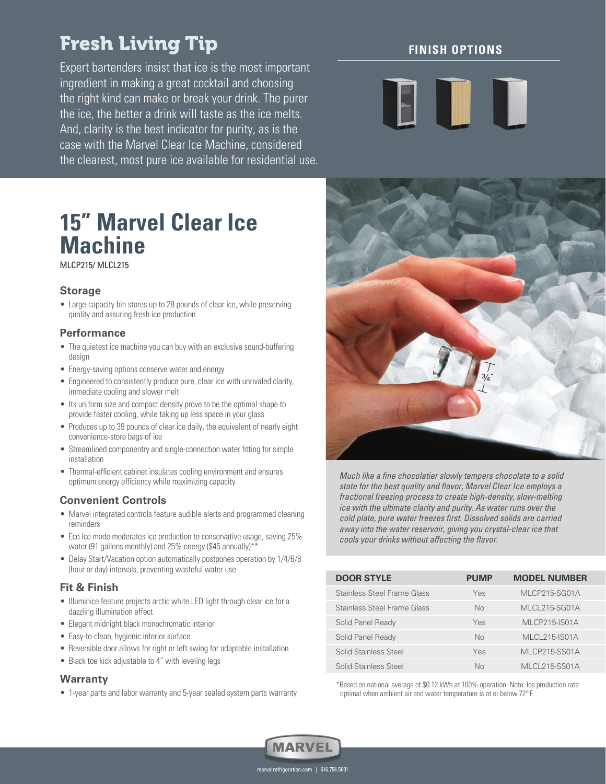## Fresh Living Tip

Expert bartenders insist that ice is the most important ingredient in making a great cocktail and choosing the right kind can make or break your drink. The purer the ice, the better a drink will taste as the ice melts. And, clarity is the best indicator for purity, as is the case with the Marvel Clear Ice Machine, considered the clearest, most pure ice available for residential use.

# **15" Marvel Clear Ice Machine**

MLCP215/ MLCL215

#### **Storage**

• Large-capacity bin stores up to 28 pounds of clear ice, while preserving quality and assuring fresh ice production

### **Performance**

- The quietest ice machine you can buy with an exclusive sound-buffering design
- Energy-saving options conserve water and energy
- Engineered to consistently produce pure, clear ice with unrivaled clarity, immediate cooling and slower melt
- Its uniform size and compact density prove to be the optimal shape to provide faster cooling, while taking up less space in your glass
- Produces up to 39 pounds of clear ice daily, the equivalent of nearly eight convenience-store bags of ice
- Streamlined componentry and single-connection water fitting for simple **installation**
- Thermal-efficient cabinet insulates cooling environment and ensures optimum energy efficiency while maximizing capacity

## **Convenient Controls**

- Marvel integrated controls feature audible alerts and programmed cleaning reminders
- Eco Ice mode moderates ice production to conservative usage, saving 25% water (91 gallons monthly) and 25% energy (\$45 annually)\*\*
- Delay Start/Vacation option automatically postpones operation by 1/4/6/8 (hour or day) intervals, preventing wasteful water use

#### **Fit & Finish**

- Illuminice feature projects arctic white LED light through clear ice for a dazzling illumination effect
- Elegant midnight black monochromatic interior
- Easy-to-clean, hygienic interior surface
- Reversible door allows for right or left swing for adaptable installation
- Black toe kick adjustable to 4" with leveling legs

#### **Warranty**

• 1-year parts and labor warranty and 5-year sealed system parts warranty

## **FINISH OPTIONS**





Much like a fine chocolatier slowly tempers chocolate to a solid state for the best quality and flavor, Marvel Clear Ice employs a fractional freezing process to create high-density, slow-melting ice with the ultimate clarity and purity. As water runs over the cold plate, pure water freezes first. Dissolved solids are carried away into the water reservoir, giving you crystal-clear ice that cools your drinks without affecting the flavor.

| <b>DOOR STYLE</b>           | <b>PUMP</b>    | <b>MODEL NUMBER</b> |
|-----------------------------|----------------|---------------------|
| Stainless Steel Frame Glass | Yes            | MLCP215-SG01A       |
| Stainless Steel Frame Glass | No             | MLCL215-SG01A       |
| Solid Panel Ready           | Yes            | MLCP215-IS01A       |
| Solid Panel Ready           | N <sub>0</sub> | MLCL215-IS01A       |
| Solid Stainless Steel       | Yes            | MLCP215-SS01A       |
| Solid Stainless Steel       | $N_{\Omega}$   | MLCL215-SS01A       |

\*Based on national average of \$0.12 kWh at 100% operation. Note: Ice production rate optimal when ambient air and water temperature is at or below 72° F.